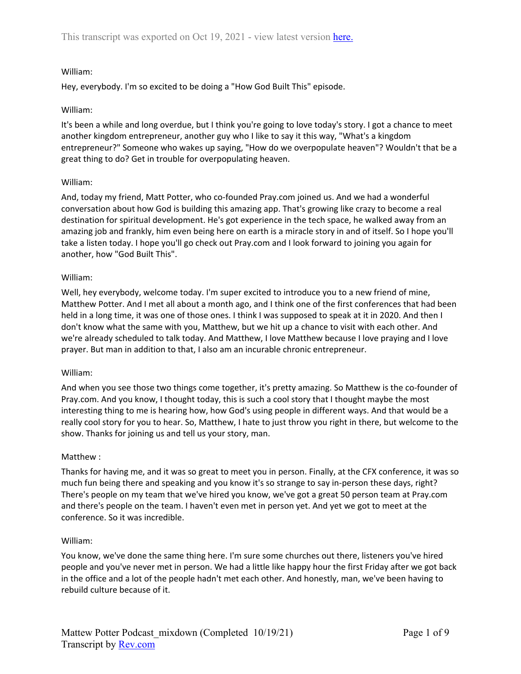# William:

Hey, everybody. I'm so excited to be doing a "How God Built This" episode.

## William:

It's been a while and long overdue, but I think you're going to love today's story. I got a chance to meet another kingdom entrepreneur, another guy who I like to say it this way, "What's a kingdom entrepreneur?" Someone who wakes up saying, "How do we overpopulate heaven"? Wouldn't that be a great thing to do? Get in trouble for overpopulating heaven.

## William:

And, today my friend, Matt Potter, who co-founded Pray.com joined us. And we had a wonderful conversation about how God is building this amazing app. That's growing like crazy to become a real destination for spiritual development. He's got experience in the tech space, he walked away from an amazing job and frankly, him even being here on earth is a miracle story in and of itself. So I hope you'll take a listen today. I hope you'll go check out Pray.com and I look forward to joining you again for another, how "God Built This".

## William:

Well, hey everybody, welcome today. I'm super excited to introduce you to a new friend of mine, Matthew Potter. And I met all about a month ago, and I think one of the first conferences that had been held in a long time, it was one of those ones. I think I was supposed to speak at it in 2020. And then I don't know what the same with you, Matthew, but we hit up a chance to visit with each other. And we're already scheduled to talk today. And Matthew, I love Matthew because I love praying and I love prayer. But man in addition to that, I also am an incurable chronic entrepreneur.

## William:

And when you see those two things come together, it's pretty amazing. So Matthew is the co-founder of Pray.com. And you know, I thought today, this is such a cool story that I thought maybe the most interesting thing to me is hearing how, how God's using people in different ways. And that would be a really cool story for you to hear. So, Matthew, I hate to just throw you right in there, but welcome to the show. Thanks for joining us and tell us your story, man.

# Matthew :

Thanks for having me, and it was so great to meet you in person. Finally, at the CFX conference, it was so much fun being there and speaking and you know it's so strange to say in-person these days, right? There's people on my team that we've hired you know, we've got a great 50 person team at Pray.com and there's people on the team. I haven't even met in person yet. And yet we got to meet at the conference. So it was incredible.

# William:

You know, we've done the same thing here. I'm sure some churches out there, listeners you've hired people and you've never met in person. We had a little like happy hour the first Friday after we got back in the office and a lot of the people hadn't met each other. And honestly, man, we've been having to rebuild culture because of it.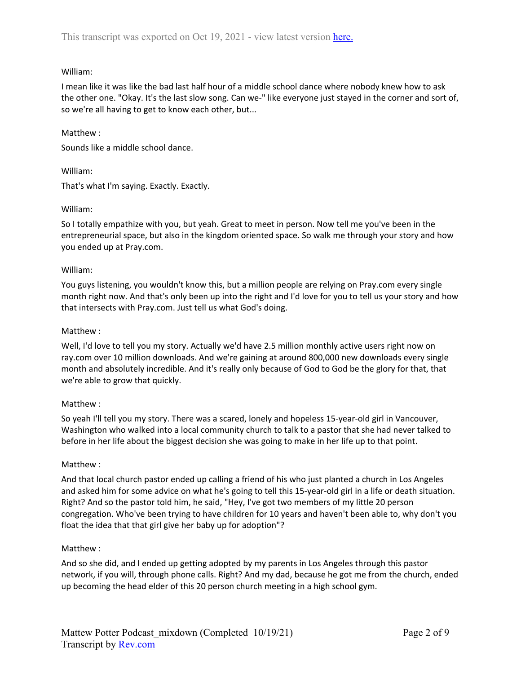# William:

I mean like it was like the bad last half hour of a middle school dance where nobody knew how to ask the other one. "Okay. It's the last slow song. Can we-" like everyone just stayed in the corner and sort of, so we're all having to get to know each other, but...

## Matthew :

Sounds like a middle school dance.

## William:

That's what I'm saying. Exactly. Exactly.

## William:

So I totally empathize with you, but yeah. Great to meet in person. Now tell me you've been in the entrepreneurial space, but also in the kingdom oriented space. So walk me through your story and how you ended up at Pray.com.

## William:

You guys listening, you wouldn't know this, but a million people are relying on Pray.com every single month right now. And that's only been up into the right and I'd love for you to tell us your story and how that intersects with Pray.com. Just tell us what God's doing.

## Matthew :

Well, I'd love to tell you my story. Actually we'd have 2.5 million monthly active users right now on ray.com over 10 million downloads. And we're gaining at around 800,000 new downloads every single month and absolutely incredible. And it's really only because of God to God be the glory for that, that we're able to grow that quickly.

# Matthew :

So yeah I'll tell you my story. There was a scared, lonely and hopeless 15-year-old girl in Vancouver, Washington who walked into a local community church to talk to a pastor that she had never talked to before in her life about the biggest decision she was going to make in her life up to that point.

## Matthew :

And that local church pastor ended up calling a friend of his who just planted a church in Los Angeles and asked him for some advice on what he's going to tell this 15-year-old girl in a life or death situation. Right? And so the pastor told him, he said, "Hey, I've got two members of my little 20 person congregation. Who've been trying to have children for 10 years and haven't been able to, why don't you float the idea that that girl give her baby up for adoption"?

## Matthew :

And so she did, and I ended up getting adopted by my parents in Los Angeles through this pastor network, if you will, through phone calls. Right? And my dad, because he got me from the church, ended up becoming the head elder of this 20 person church meeting in a high school gym.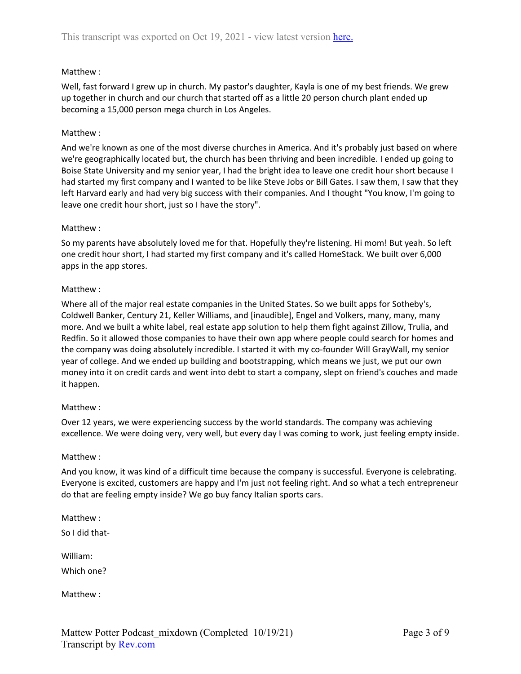# Matthew :

Well, fast forward I grew up in church. My pastor's daughter, Kayla is one of my best friends. We grew up together in church and our church that started off as a little 20 person church plant ended up becoming a 15,000 person mega church in Los Angeles.

## Matthew :

And we're known as one of the most diverse churches in America. And it's probably just based on where we're geographically located but, the church has been thriving and been incredible. I ended up going to Boise State University and my senior year, I had the bright idea to leave one credit hour short because I had started my first company and I wanted to be like Steve Jobs or Bill Gates. I saw them, I saw that they left Harvard early and had very big success with their companies. And I thought "You know, I'm going to leave one credit hour short, just so I have the story".

## Matthew :

So my parents have absolutely loved me for that. Hopefully they're listening. Hi mom! But yeah. So left one credit hour short, I had started my first company and it's called HomeStack. We built over 6,000 apps in the app stores.

## Matthew :

Where all of the major real estate companies in the United States. So we built apps for Sotheby's, Coldwell Banker, Century 21, Keller Williams, and [inaudible], Engel and Volkers, many, many, many more. And we built a white label, real estate app solution to help them fight against Zillow, Trulia, and Redfin. So it allowed those companies to have their own app where people could search for homes and the company was doing absolutely incredible. I started it with my co-founder Will GrayWall, my senior year of college. And we ended up building and bootstrapping, which means we just, we put our own money into it on credit cards and went into debt to start a company, slept on friend's couches and made it happen.

## Matthew :

Over 12 years, we were experiencing success by the world standards. The company was achieving excellence. We were doing very, very well, but every day I was coming to work, just feeling empty inside.

## Matthew :

And you know, it was kind of a difficult time because the company is successful. Everyone is celebrating. Everyone is excited, customers are happy and I'm just not feeling right. And so what a tech entrepreneur do that are feeling empty inside? We go buy fancy Italian sports cars.

Matthew :

So I did that-

William:

Which one?

Matthew :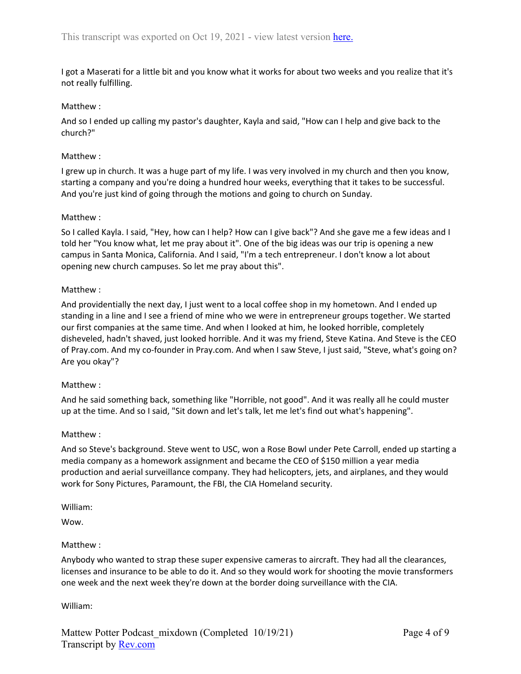I got a Maserati for a little bit and you know what it works for about two weeks and you realize that it's not really fulfilling.

## Matthew :

And so I ended up calling my pastor's daughter, Kayla and said, "How can I help and give back to the church?"

## Matthew :

I grew up in church. It was a huge part of my life. I was very involved in my church and then you know, starting a company and you're doing a hundred hour weeks, everything that it takes to be successful. And you're just kind of going through the motions and going to church on Sunday.

## Matthew :

So I called Kayla. I said, "Hey, how can I help? How can I give back"? And she gave me a few ideas and I told her "You know what, let me pray about it". One of the big ideas was our trip is opening a new campus in Santa Monica, California. And I said, "I'm a tech entrepreneur. I don't know a lot about opening new church campuses. So let me pray about this".

## Matthew :

And providentially the next day, I just went to a local coffee shop in my hometown. And I ended up standing in a line and I see a friend of mine who we were in entrepreneur groups together. We started our first companies at the same time. And when I looked at him, he looked horrible, completely disheveled, hadn't shaved, just looked horrible. And it was my friend, Steve Katina. And Steve is the CEO of Pray.com. And my co-founder in Pray.com. And when I saw Steve, I just said, "Steve, what's going on? Are you okay"?

## Matthew :

And he said something back, something like "Horrible, not good". And it was really all he could muster up at the time. And so I said, "Sit down and let's talk, let me let's find out what's happening".

## Matthew :

And so Steve's background. Steve went to USC, won a Rose Bowl under Pete Carroll, ended up starting a media company as a homework assignment and became the CEO of \$150 million a year media production and aerial surveillance company. They had helicopters, jets, and airplanes, and they would work for Sony Pictures, Paramount, the FBI, the CIA Homeland security.

William:

Wow.

## Matthew :

Anybody who wanted to strap these super expensive cameras to aircraft. They had all the clearances, licenses and insurance to be able to do it. And so they would work for shooting the movie transformers one week and the next week they're down at the border doing surveillance with the CIA.

William: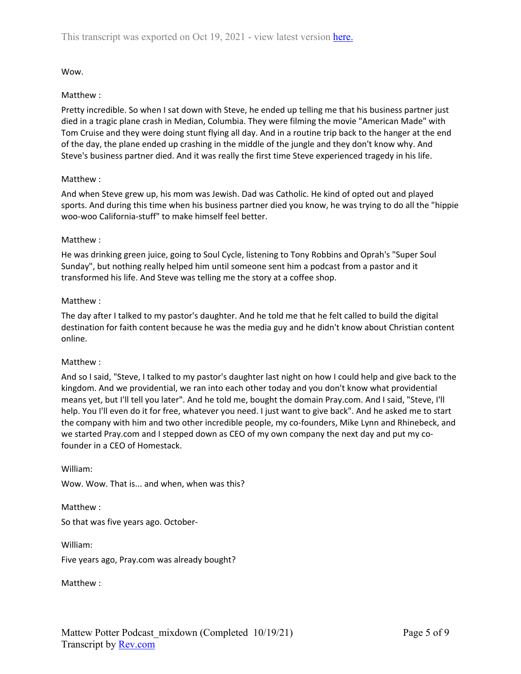Wow.

# Matthew :

Pretty incredible. So when I sat down with Steve, he ended up telling me that his business partner just died in a tragic plane crash in Median, Columbia. They were filming the movie "American Made" with Tom Cruise and they were doing stunt flying all day. And in a routine trip back to the hanger at the end of the day, the plane ended up crashing in the middle of the jungle and they don't know why. And Steve's business partner died. And it was really the first time Steve experienced tragedy in his life.

## Matthew :

And when Steve grew up, his mom was Jewish. Dad was Catholic. He kind of opted out and played sports. And during this time when his business partner died you know, he was trying to do all the "hippie woo-woo California-stuff" to make himself feel better.

## Matthew :

He was drinking green juice, going to Soul Cycle, listening to Tony Robbins and Oprah's "Super Soul Sunday", but nothing really helped him until someone sent him a podcast from a pastor and it transformed his life. And Steve was telling me the story at a coffee shop.

## Matthew :

The day after I talked to my pastor's daughter. And he told me that he felt called to build the digital destination for faith content because he was the media guy and he didn't know about Christian content online.

## Matthew :

And so I said, "Steve, I talked to my pastor's daughter last night on how I could help and give back to the kingdom. And we providential, we ran into each other today and you don't know what providential means yet, but I'll tell you later". And he told me, bought the domain Pray.com. And I said, "Steve, I'll help. You I'll even do it for free, whatever you need. I just want to give back". And he asked me to start the company with him and two other incredible people, my co-founders, Mike Lynn and Rhinebeck, and we started Pray.com and I stepped down as CEO of my own company the next day and put my cofounder in a CEO of Homestack.

William:

Wow. Wow. That is... and when, when was this?

Matthew : So that was five years ago. October-

William:

Five years ago, Pray.com was already bought?

Matthew :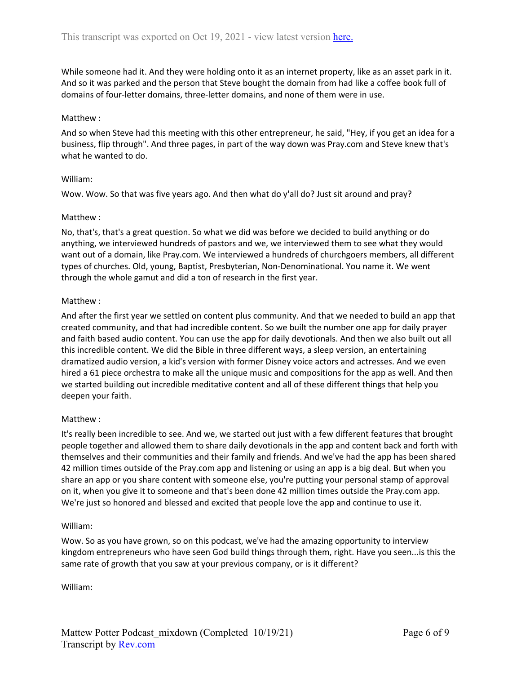While someone had it. And they were holding onto it as an internet property, like as an asset park in it. And so it was parked and the person that Steve bought the domain from had like a coffee book full of domains of four-letter domains, three-letter domains, and none of them were in use.

#### Matthew :

And so when Steve had this meeting with this other entrepreneur, he said, "Hey, if you get an idea for a business, flip through". And three pages, in part of the way down was Pray.com and Steve knew that's what he wanted to do.

#### William:

Wow. Wow. So that was five years ago. And then what do y'all do? Just sit around and pray?

#### Matthew :

No, that's, that's a great question. So what we did was before we decided to build anything or do anything, we interviewed hundreds of pastors and we, we interviewed them to see what they would want out of a domain, like Pray.com. We interviewed a hundreds of churchgoers members, all different types of churches. Old, young, Baptist, Presbyterian, Non-Denominational. You name it. We went through the whole gamut and did a ton of research in the first year.

#### Matthew :

And after the first year we settled on content plus community. And that we needed to build an app that created community, and that had incredible content. So we built the number one app for daily prayer and faith based audio content. You can use the app for daily devotionals. And then we also built out all this incredible content. We did the Bible in three different ways, a sleep version, an entertaining dramatized audio version, a kid's version with former Disney voice actors and actresses. And we even hired a 61 piece orchestra to make all the unique music and compositions for the app as well. And then we started building out incredible meditative content and all of these different things that help you deepen your faith.

## Matthew :

It's really been incredible to see. And we, we started out just with a few different features that brought people together and allowed them to share daily devotionals in the app and content back and forth with themselves and their communities and their family and friends. And we've had the app has been shared 42 million times outside of the Pray.com app and listening or using an app is a big deal. But when you share an app or you share content with someone else, you're putting your personal stamp of approval on it, when you give it to someone and that's been done 42 million times outside the Pray.com app. We're just so honored and blessed and excited that people love the app and continue to use it.

#### William:

Wow. So as you have grown, so on this podcast, we've had the amazing opportunity to interview kingdom entrepreneurs who have seen God build things through them, right. Have you seen...is this the same rate of growth that you saw at your previous company, or is it different?

William: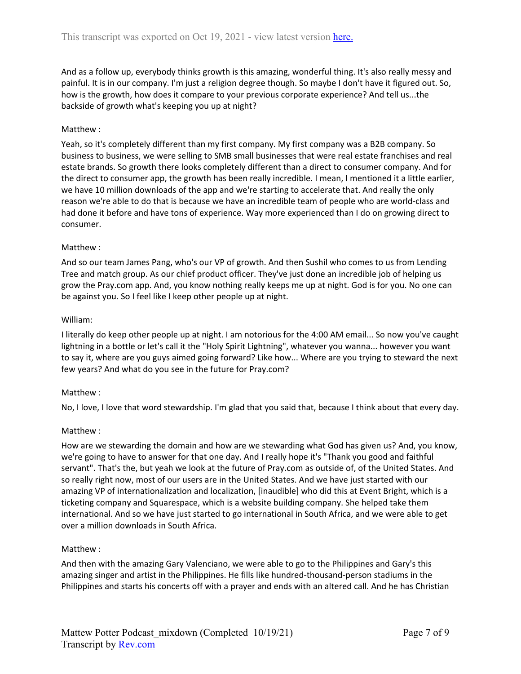And as a follow up, everybody thinks growth is this amazing, wonderful thing. It's also really messy and painful. It is in our company. I'm just a religion degree though. So maybe I don't have it figured out. So, how is the growth, how does it compare to your previous corporate experience? And tell us...the backside of growth what's keeping you up at night?

# Matthew :

Yeah, so it's completely different than my first company. My first company was a B2B company. So business to business, we were selling to SMB small businesses that were real estate franchises and real estate brands. So growth there looks completely different than a direct to consumer company. And for the direct to consumer app, the growth has been really incredible. I mean, I mentioned it a little earlier, we have 10 million downloads of the app and we're starting to accelerate that. And really the only reason we're able to do that is because we have an incredible team of people who are world-class and had done it before and have tons of experience. Way more experienced than I do on growing direct to consumer.

## Matthew :

And so our team James Pang, who's our VP of growth. And then Sushil who comes to us from Lending Tree and match group. As our chief product officer. They've just done an incredible job of helping us grow the Pray.com app. And, you know nothing really keeps me up at night. God is for you. No one can be against you. So I feel like I keep other people up at night.

## William:

I literally do keep other people up at night. I am notorious for the 4:00 AM email... So now you've caught lightning in a bottle or let's call it the "Holy Spirit Lightning", whatever you wanna... however you want to say it, where are you guys aimed going forward? Like how... Where are you trying to steward the next few years? And what do you see in the future for Pray.com?

## Matthew :

No, I love, I love that word stewardship. I'm glad that you said that, because I think about that every day.

## Matthew :

How are we stewarding the domain and how are we stewarding what God has given us? And, you know, we're going to have to answer for that one day. And I really hope it's "Thank you good and faithful servant". That's the, but yeah we look at the future of Pray.com as outside of, of the United States. And so really right now, most of our users are in the United States. And we have just started with our amazing VP of internationalization and localization, [inaudible] who did this at Event Bright, which is a ticketing company and Squarespace, which is a website building company. She helped take them international. And so we have just started to go international in South Africa, and we were able to get over a million downloads in South Africa.

## Matthew :

And then with the amazing Gary Valenciano, we were able to go to the Philippines and Gary's this amazing singer and artist in the Philippines. He fills like hundred-thousand-person stadiums in the Philippines and starts his concerts off with a prayer and ends with an altered call. And he has Christian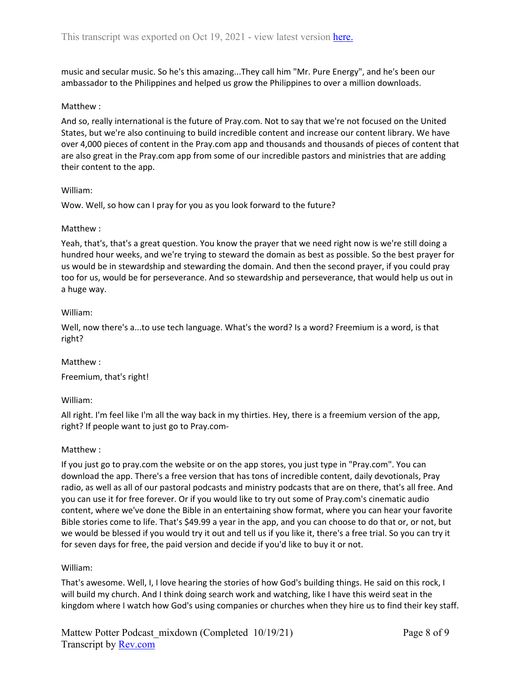music and secular music. So he's this amazing...They call him "Mr. Pure Energy", and he's been our ambassador to the Philippines and helped us grow the Philippines to over a million downloads.

## Matthew :

And so, really international is the future of Pray.com. Not to say that we're not focused on the United States, but we're also continuing to build incredible content and increase our content library. We have over 4,000 pieces of content in the Pray.com app and thousands and thousands of pieces of content that are also great in the Pray.com app from some of our incredible pastors and ministries that are adding their content to the app.

## William:

Wow. Well, so how can I pray for you as you look forward to the future?

## Matthew :

Yeah, that's, that's a great question. You know the prayer that we need right now is we're still doing a hundred hour weeks, and we're trying to steward the domain as best as possible. So the best prayer for us would be in stewardship and stewarding the domain. And then the second prayer, if you could pray too for us, would be for perseverance. And so stewardship and perseverance, that would help us out in a huge way.

## William:

Well, now there's a...to use tech language. What's the word? Is a word? Freemium is a word, is that right?

# Matthew :

Freemium, that's right!

# William:

All right. I'm feel like I'm all the way back in my thirties. Hey, there is a freemium version of the app, right? If people want to just go to Pray.com-

## Matthew :

If you just go to pray.com the website or on the app stores, you just type in "Pray.com". You can download the app. There's a free version that has tons of incredible content, daily devotionals, Pray radio, as well as all of our pastoral podcasts and ministry podcasts that are on there, that's all free. And you can use it for free forever. Or if you would like to try out some of Pray.com's cinematic audio content, where we've done the Bible in an entertaining show format, where you can hear your favorite Bible stories come to life. That's \$49.99 a year in the app, and you can choose to do that or, or not, but we would be blessed if you would try it out and tell us if you like it, there's a free trial. So you can try it for seven days for free, the paid version and decide if you'd like to buy it or not.

## William:

That's awesome. Well, I, I love hearing the stories of how God's building things. He said on this rock, I will build my church. And I think doing search work and watching, like I have this weird seat in the kingdom where I watch how God's using companies or churches when they hire us to find their key staff.